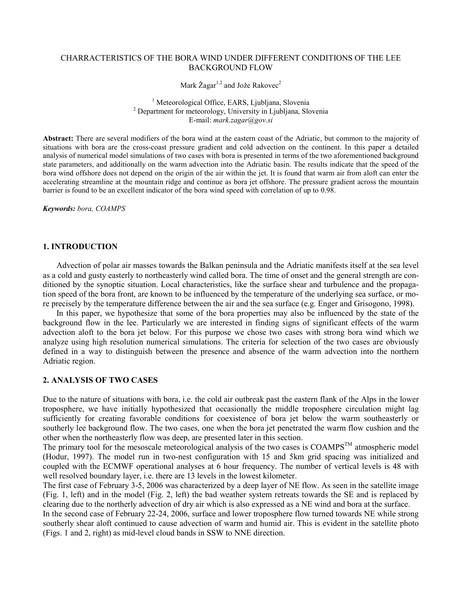#### CHARRACTERISTICS OF THE BORA WIND UNDER DIFFERENT CONDITIONS OF THE LEE BACKGROUND FLOW

Mark Žagar<sup>1,2</sup> and Jože Rakovec<sup>2</sup>

<sup>1</sup> Meteorological Office, EARS, Ljubljana, Slovenia 2 Department for meteorology, University in Ljubljana, Slovenia E-mail: mark.zagar@gov.si

Abstract: There are several modifiers of the bora wind at the eastern coast of the Adriatic, but common to the majority of situations with bora are the cross-coast pressure gradient and cold advection on the continent. In this paper a detailed analysis of numerical model simulations of two cases with bora is presented in terms of the two aforementioned background state parameters, and additionally on the warm advection into the Adriatic basin. The results indicate that the speed of the bora wind offshore does not depend on the origin of the air within the jet. It is found that warm air from aloft can enter the accelerating streamline at the mountain ridge and continue as bora jet offshore. The pressure gradient across the mountain barrier is found to be an excellent indicator of the bora wind speed with correlation of up to 0.98.

Keywords: bora, COAMPS

### 1. INTRODUCTION

Advection of polar air masses towards the Balkan peninsula and the Adriatic manifests itself at the sea level as a cold and gusty easterly to northeasterly wind called bora. The time of onset and the general strength are conditioned by the synoptic situation. Local characteristics, like the surface shear and turbulence and the propagation speed of the bora front, are known to be influenced by the temperature of the underlying sea surface, or more precisely by the temperature difference between the air and the sea surface (e.g. Enger and Grisogono, 1998).

In this paper, we hypothesize that some of the bora properties may also be influenced by the state of the background flow in the lee. Particularly we are interested in finding signs of significant effects of the warm advection aloft to the bora jet below. For this purpose we chose two cases with strong bora wind which we analyze using high resolution numerical simulations. The criteria for selection of the two cases are obviously defined in a way to distinguish between the presence and absence of the warm advection into the northern Adriatic region.

# 2. ANALYSIS OF TWO CASES

Due to the nature of situations with bora, i.e. the cold air outbreak past the eastern flank of the Alps in the lower troposphere, we have initially hypothesized that occasionally the middle troposphere circulation might lag sufficiently for creating favorable conditions for coexistence of bora jet below the warm southeasterly or southerly lee background flow. The two cases, one when the bora jet penetrated the warm flow cushion and the other when the northeasterly flow was deep, are presented later in this section.

The primary tool for the mesoscale meteorological analysis of the two cases is COAMPS<sup>TM</sup> atmospheric model (Hodur, 1997). The model run in two-nest configuration with 15 and 5km grid spacing was initialized and coupled with the ECMWF operational analyses at 6 hour frequency. The number of vertical levels is 48 with well resolved boundary layer, i.e. there are 13 levels in the lowest kilometer.

The first case of February 3-5, 2006 was characterized by a deep layer of NE flow. As seen in the satellite image (Fig. 1, left) and in the model (Fig. 2, left) the bad weather system retreats towards the SE and is replaced by clearing due to the northerly advection of dry air which is also expressed as a NE wind and bora at the surface.

In the second case of February 22-24, 2006, surface and lower troposphere flow turned towards NE while strong southerly shear aloft continued to cause advection of warm and humid air. This is evident in the satellite photo (Figs. 1 and 2, right) as mid-level cloud bands in SSW to NNE direction.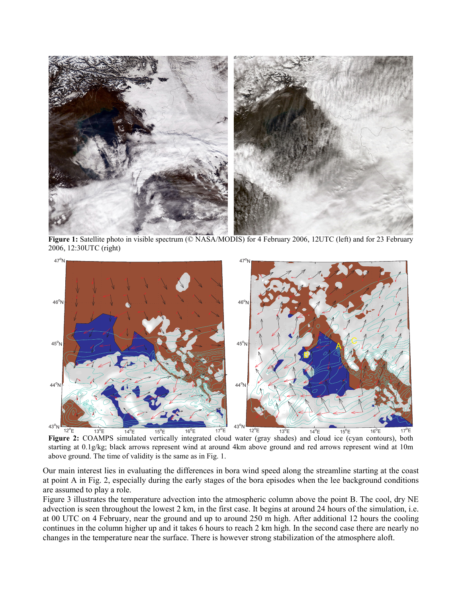

Figure 1: Satellite photo in visible spectrum (© NASA/MODIS) for 4 February 2006, 12UTC (left) and for 23 February 2006, 12:30UTC (right)



Figure 2: COAMPS simulated vertically integrated cloud water (gray shades) and cloud ice (cyan contours), both starting at 0.1g/kg; black arrows represent wind at around 4km above ground and red arrows represent wind at 10m above ground. The time of validity is the same as in Fig. 1.

Our main interest lies in evaluating the differences in bora wind speed along the streamline starting at the coast at point A in Fig. 2, especially during the early stages of the bora episodes when the lee background conditions are assumed to play a role.

Figure 3 illustrates the temperature advection into the atmospheric column above the point B. The cool, dry NE advection is seen throughout the lowest 2 km, in the first case. It begins at around 24 hours of the simulation, i.e. at 00 UTC on 4 February, near the ground and up to around 250 m high. After additional 12 hours the cooling continues in the column higher up and it takes 6 hours to reach 2 km high. In the second case there are nearly no changes in the temperature near the surface. There is however strong stabilization of the atmosphere aloft.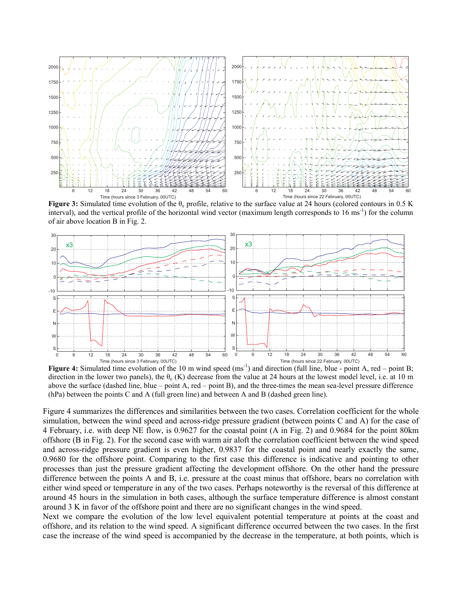

**Figure 3:** Simulated time evolution of the  $\theta_e$  profile, relative to the surface value at 24 hours (colored contours in 0.5 K interval), and the vertical profile of the horizontal wind vector (maximum length corresponds to  $16 \text{ ms}^{-1}$ ) for the column of air above location B in Fig. 2.



Figure 4: Simulated time evolution of the 10 m wind speed  $(ms^{-1})$  and direction (full line, blue - point A, red – point B; direction in the lower two panels), the  $\theta_e$  (K) decrease from the value at 24 hours at the lowest model level, i.e. at 10 m above the surface (dashed line, blue – point A, red – point B), and the three-times the mean sea-level pressure difference (hPa) between the points C and A (full green line) and between A and B (dashed green line).

Figure 4 summarizes the differences and similarities between the two cases. Correlation coefficient for the whole simulation, between the wind speed and across-ridge pressure gradient (between points C and A) for the case of 4 February, i.e. with deep NE flow, is 0.9627 for the coastal point (A in Fig. 2) and 0.9684 for the point 80km offshore (B in Fig. 2). For the second case with warm air aloft the correlation coefficient between the wind speed and across-ridge pressure gradient is even higher, 0.9837 for the coastal point and nearly exactly the same, 0.9680 for the offshore point. Comparing to the first case this difference is indicative and pointing to other processes than just the pressure gradient affecting the development offshore. On the other hand the pressure difference between the points A and B, i.e. pressure at the coast minus that offshore, bears no correlation with either wind speed or temperature in any of the two cases. Perhaps noteworthy is the reversal of this difference at around 45 hours in the simulation in both cases, although the surface temperature difference is almost constant around 3 K in favor of the offshore point and there are no significant changes in the wind speed.

Next we compare the evolution of the low level equivalent potential temperature at points at the coast and offshore, and its relation to the wind speed. A significant difference occurred between the two cases. In the first case the increase of the wind speed is accompanied by the decrease in the temperature, at both points, which is